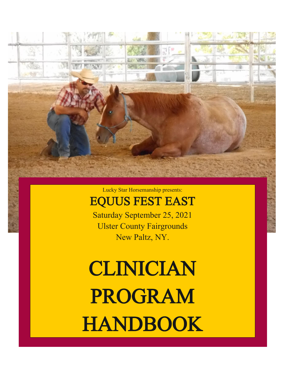

Lucky Star Horsemanship presents:

## EQUUS FEST EAST

Saturday September 25, 2021 Ulster County Fairgrounds New Paltz, NY.

# CLINICIAN PROGRAM HANDBOOK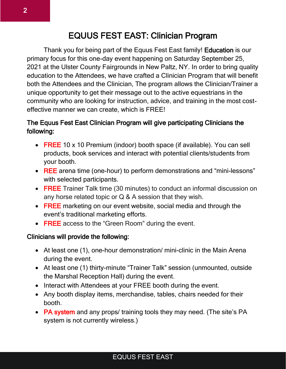### EQUUS FEST EAST: Clinician Program

Thank you for being part of the Equus Fest East family! Education is our primary focus for this one-day event happening on Saturday September 25, 2021 at the Ulster County Fairgrounds in New Paltz, NY. In order to bring quality education to the Attendees, we have crafted a Clinician Program that will benefit both the Attendees and the Clinician, The program allows the Clinician/Trainer a unique opportunity to get their message out to the active equestrians in the community who are looking for instruction, advice, and training in the most costeffective manner we can create, which is FREE!

#### The Equus Fest East Clinician Program will give participating Clinicians the following:

- FREE 10 x 10 Premium (indoor) booth space (if available). You can sell products, book services and interact with potential clients/students from your booth.
- REE arena time (one-hour) to perform demonstrations and "mini-lessons" with selected participants.
- FREE Trainer Talk time (30 minutes) to conduct an informal discussion on any horse related topic or Q & A session that they wish.
- FREE marketing on our event website, social media and through the event's traditional marketing efforts.
- FREE access to the "Green Room" during the event.

#### Clinicians will provide the following:

- At least one (1), one-hour demonstration/ mini-clinic in the Main Arena during the event.
- At least one (1) thirty-minute "Trainer Talk" session (unmounted, outside the Marshal Reception Hall) during the event.
- Interact with Attendees at your FREE booth during the event.
- Any booth display items, merchandise, tables, chairs needed for their booth.
- PA system and any props/ training tools they may need. (The site's PA system is not currently wireless.)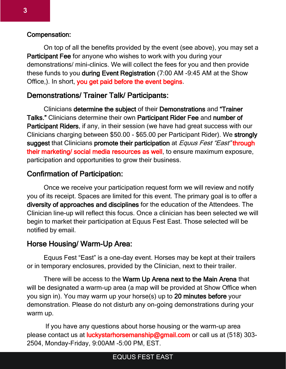#### Compensation:

On top of all the benefits provided by the event (see above), you may set a Participant Fee for anyone who wishes to work with you during your demonstrations/ mini-clinics. We will collect the fees for you and then provide these funds to you during Event Registration (7:00 AM -9:45 AM at the Show Office,). In short, you get paid before the event begins.

#### Demonstrations/ Trainer Talk/ Participants:

Clinicians determine the subject of their Demonstrations and "Trainer Talks." Clinicians determine their own Participant Rider Fee and number of Participant Riders, if any, in their session (we have had great success with our Clinicians charging between \$50.00 - \$65.00 per Participant Rider). We strongly suggest that Clinicians promote their participation at *Equus Fest "East"* through their marketing/ social media resources as well, to ensure maximum exposure, participation and opportunities to grow their business.

#### Confirmation of Participation:

Once we receive your participation request form we will review and notify you of its receipt. Spaces are limited for this event. The primary goal is to offer a diversity of approaches and disciplines for the education of the Attendees. The Clinician line-up will reflect this focus. Once a clinician has been selected we will begin to market their participation at Equus Fest East. Those selected will be notified by email.

#### Horse Housing/ Warm-Up Area:

Equus Fest "East" is a one-day event. Horses may be kept at their trailers or in temporary enclosures, provided by the Clinician, next to their trailer.

There will be access to the Warm Up Arena next to the Main Arena that will be designated a warm-up area (a map will be provided at Show Office when you sign in). You may warm up your horse(s) up to 20 minutes before your demonstration. Please do not disturb any on-going demonstrations during your warm up.

If you have any questions about horse housing or the warm-up area please contact us at **luckystarhorsemanship@gmail.com** or call us at (518) 303-2504, Monday-Friday, 9:00AM -5:00 PM, EST.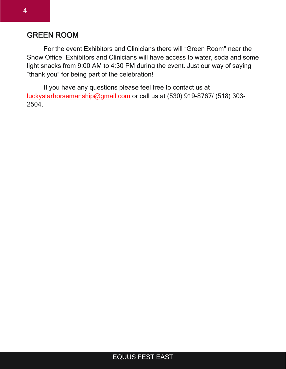#### GREEN ROOM

For the event Exhibitors and Clinicians there will "Green Room" near the Show Office. Exhibitors and Clinicians will have access to water, soda and some light snacks from 9:00 AM to 4:30 PM during the event. Just our way of saying "thank you" for being part of the celebration!

If you have any questions please feel free to contact us at [luckystarhorsemanship@gmail.com](mailto:luckystarhorsemanship@gmail.com) or call us at (530) 919-8767/ (518) 303- 2504.